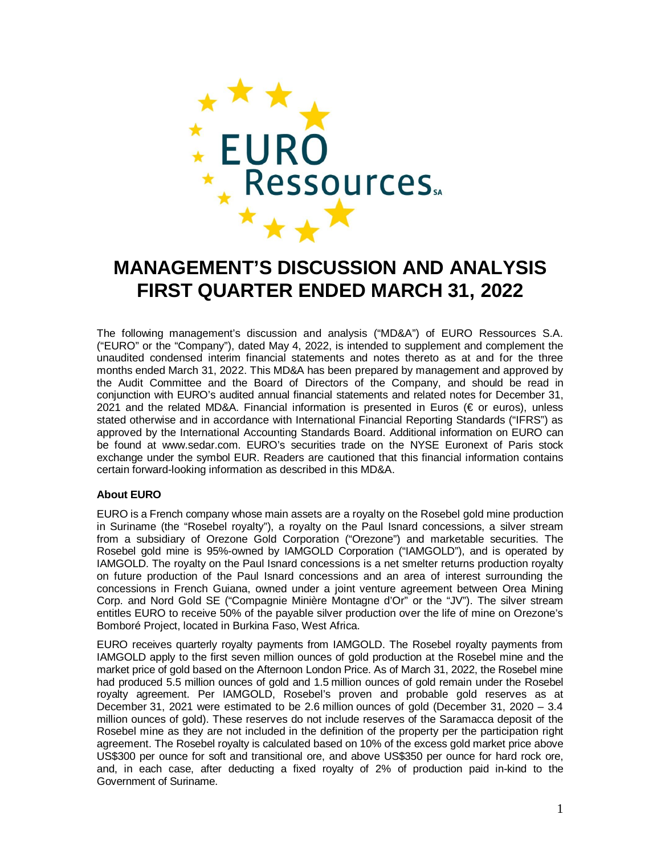

# **MANAGEMENT'S DISCUSSION AND ANALYSIS FIRST QUARTER ENDED MARCH 31, 2022**

The following management's discussion and analysis ("MD&A") of EURO Ressources S.A. ("EURO" or the "Company"), dated May 4, 2022, is intended to supplement and complement the unaudited condensed interim financial statements and notes thereto as at and for the three months ended March 31, 2022. This MD&A has been prepared by management and approved by the Audit Committee and the Board of Directors of the Company, and should be read in conjunction with EURO's audited annual financial statements and related notes for December 31, 2021 and the related MD&A. Financial information is presented in Euros (€ or euros), unless stated otherwise and in accordance with International Financial Reporting Standards ("IFRS") as approved by the International Accounting Standards Board. Additional information on EURO can be found at www.sedar.com. EURO's securities trade on the NYSE Euronext of Paris stock exchange under the symbol EUR. Readers are cautioned that this financial information contains certain forward-looking information as described in this MD&A.

# **About EURO**

EURO is a French company whose main assets are a royalty on the Rosebel gold mine production in Suriname (the "Rosebel royalty"), a royalty on the Paul Isnard concessions, a silver stream from a subsidiary of Orezone Gold Corporation ("Orezone") and marketable securities. The Rosebel gold mine is 95%-owned by IAMGOLD Corporation ("IAMGOLD"), and is operated by IAMGOLD. The royalty on the Paul Isnard concessions is a net smelter returns production royalty on future production of the Paul Isnard concessions and an area of interest surrounding the concessions in French Guiana, owned under a joint venture agreement between Orea Mining Corp. and Nord Gold SE ("Compagnie Minière Montagne d'Or" or the "JV"). The silver stream entitles EURO to receive 50% of the payable silver production over the life of mine on Orezone's Bomboré Project, located in Burkina Faso, West Africa.

EURO receives quarterly royalty payments from IAMGOLD. The Rosebel royalty payments from IAMGOLD apply to the first seven million ounces of gold production at the Rosebel mine and the market price of gold based on the Afternoon London Price. As of March 31, 2022, the Rosebel mine had produced 5.5 million ounces of gold and 1.5 million ounces of gold remain under the Rosebel royalty agreement. Per IAMGOLD, Rosebel's proven and probable gold reserves as at December 31, 2021 were estimated to be 2.6 million ounces of gold (December 31, 2020 – 3.4 million ounces of gold). These reserves do not include reserves of the Saramacca deposit of the Rosebel mine as they are not included in the definition of the property per the participation right agreement. The Rosebel royalty is calculated based on 10% of the excess gold market price above US\$300 per ounce for soft and transitional ore, and above US\$350 per ounce for hard rock ore, and, in each case, after deducting a fixed royalty of 2% of production paid in-kind to the Government of Suriname.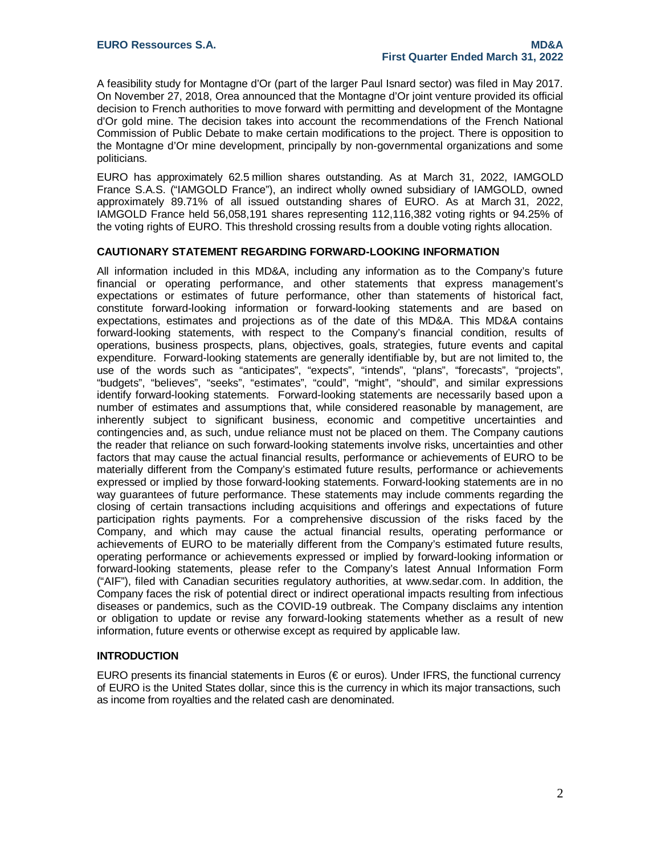A feasibility study for Montagne d'Or (part of the larger Paul Isnard sector) was filed in May 2017. On November 27, 2018, Orea announced that the Montagne d'Or joint venture provided its official decision to French authorities to move forward with permitting and development of the Montagne d'Or gold mine. The decision takes into account the recommendations of the French National Commission of Public Debate to make certain modifications to the project. There is opposition to the Montagne d'Or mine development, principally by non-governmental organizations and some politicians.

EURO has approximately 62.5 million shares outstanding. As at March 31, 2022, IAMGOLD France S.A.S. ("IAMGOLD France"), an indirect wholly owned subsidiary of IAMGOLD, owned approximately 89.71% of all issued outstanding shares of EURO. As at March 31, 2022, IAMGOLD France held 56,058,191 shares representing 112,116,382 voting rights or 94.25% of the voting rights of EURO. This threshold crossing results from a double voting rights allocation.

## **CAUTIONARY STATEMENT REGARDING FORWARD-LOOKING INFORMATION**

All information included in this MD&A, including any information as to the Company's future financial or operating performance, and other statements that express management's expectations or estimates of future performance, other than statements of historical fact, constitute forward-looking information or forward-looking statements and are based on expectations, estimates and projections as of the date of this MD&A. This MD&A contains forward-looking statements, with respect to the Company's financial condition, results of operations, business prospects, plans, objectives, goals, strategies, future events and capital expenditure. Forward-looking statements are generally identifiable by, but are not limited to, the use of the words such as "anticipates", "expects", "intends", "plans", "forecasts", "projects", "budgets", "believes", "seeks", "estimates", "could", "might", "should", and similar expressions identify forward-looking statements. Forward-looking statements are necessarily based upon a number of estimates and assumptions that, while considered reasonable by management, are inherently subject to significant business, economic and competitive uncertainties and contingencies and, as such, undue reliance must not be placed on them. The Company cautions the reader that reliance on such forward-looking statements involve risks, uncertainties and other factors that may cause the actual financial results, performance or achievements of EURO to be materially different from the Company's estimated future results, performance or achievements expressed or implied by those forward-looking statements. Forward-looking statements are in no way guarantees of future performance. These statements may include comments regarding the closing of certain transactions including acquisitions and offerings and expectations of future participation rights payments. For a comprehensive discussion of the risks faced by the Company, and which may cause the actual financial results, operating performance or achievements of EURO to be materially different from the Company's estimated future results, operating performance or achievements expressed or implied by forward-looking information or forward-looking statements, please refer to the Company's [latest Annual In](http://www.sedar.com/)formation Form ("AIF"), filed with Canadian securities regulatory authorities, at www.sedar.com. In addition, the Company faces the risk of potential direct or indirect operational impacts resulting from infectious diseases or pandemics, such as the COVID-19 outbreak. The Company disclaims any intention or obligation to update or revise any forward-looking statements whether as a result of new information, future events or otherwise except as required by applicable law.

#### **INTRODUCTION**

EURO presents its financial statements in Euros (€ or euros). Under IFRS, the functional currency of EURO is the United States dollar, since this is the currency in which its major transactions, such as income from royalties and the related cash are denominated.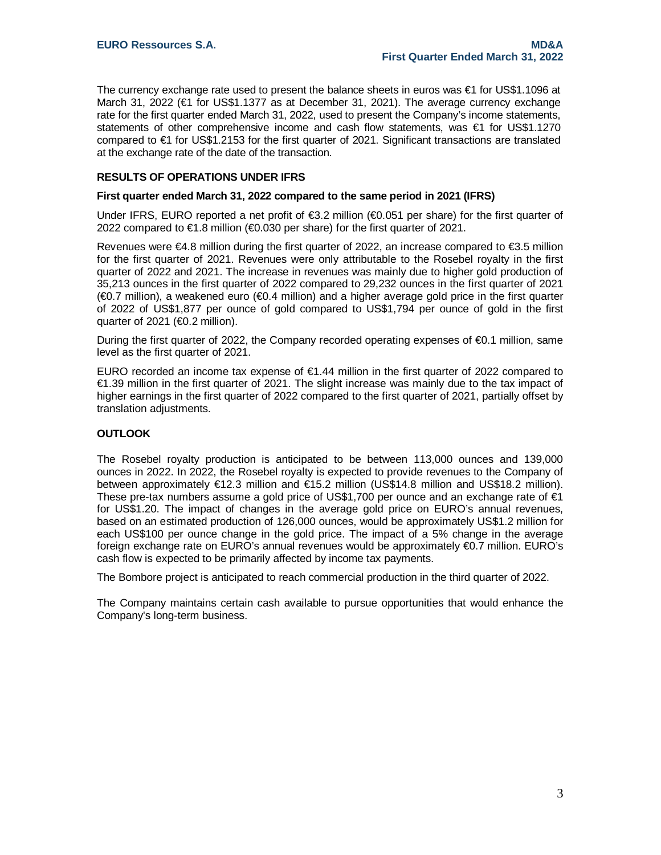The currency exchange rate used to present the balance sheets in euros was €1 for US\$1.1096 at March 31, 2022 (€1 for US\$1.1377 as at December 31, 2021). The average currency exchange rate for the first quarter ended March 31, 2022, used to present the Company's income statements, statements of other comprehensive income and cash flow statements, was €1 for US\$1.1270 compared to €1 for US\$1.2153 for the first quarter of 2021. Significant transactions are translated at the exchange rate of the date of the transaction.

## **RESULTS OF OPERATIONS UNDER IFRS**

#### **First quarter ended March 31, 2022 compared to the same period in 2021 (IFRS)**

Under IFRS, EURO reported a net profit of  $\epsilon$ 3.2 million ( $\epsilon$ 0.051 per share) for the first quarter of 2022 compared to €1.8 million (€0.030 per share) for the first quarter of 2021.

Revenues were €4.8 million during the first quarter of 2022, an increase compared to €3.5 million for the first quarter of 2021. Revenues were only attributable to the Rosebel royalty in the first quarter of 2022 and 2021. The increase in revenues was mainly due to higher gold production of 35,213 ounces in the first quarter of 2022 compared to 29,232 ounces in the first quarter of 2021 (€0.7 million), a weakened euro (€0.4 million) and a higher average gold price in the first quarter of 2022 of US\$1,877 per ounce of gold compared to US\$1,794 per ounce of gold in the first quarter of 2021 ( $\bigoplus$  2 million).

During the first quarter of 2022, the Company recorded operating expenses of €0.1 million, same level as the first quarter of 2021.

EURO recorded an income tax expense of €1.44 million in the first quarter of 2022 compared to €1.39 million in the first quarter of 2021. The slight increase was mainly due to the tax impact of higher earnings in the first quarter of 2022 compared to the first quarter of 2021, partially offset by translation adjustments.

## **OUTLOOK**

The Rosebel royalty production is anticipated to be between 113,000 ounces and 139,000 ounces in 2022. In 2022, the Rosebel royalty is expected to provide revenues to the Company of between approximately €12.3 million and €15.2 million (US\$14.8 million and US\$18.2 million). These pre-tax numbers assume a gold price of US\$1,700 per ounce and an exchange rate of  $\epsilon$ 1 for US\$1.20. The impact of changes in the average gold price on EURO's annual revenues, based on an estimated production of 126,000 ounces, would be approximately US\$1.2 million for each US\$100 per ounce change in the gold price. The impact of a 5% change in the average foreign exchange rate on EURO's annual revenues would be approximately €0.7 million. EURO's cash flow is expected to be primarily affected by income tax payments.

The Bombore project is anticipated to reach commercial production in the third quarter of 2022.

The Company maintains certain cash available to pursue opportunities that would enhance the Company's long-term business.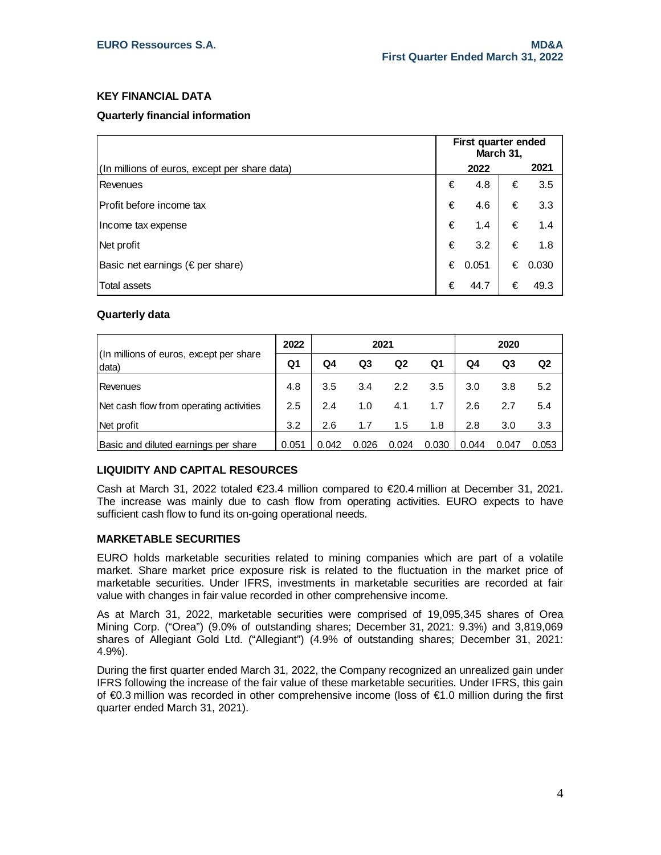# **KEY FINANCIAL DATA**

# **Quarterly financial information**

|                                               | First quarter ended<br>March 31, |           |   |       |
|-----------------------------------------------|----------------------------------|-----------|---|-------|
| (In millions of euros, except per share data) |                                  | 2022      |   | 2021  |
| Revenues                                      | €                                | 4.8       | € | 3.5   |
| Profit before income tax                      | €                                | 4.6       | € | 3.3   |
| Income tax expense                            | €                                | 1.4       | € | 1.4   |
| Net profit                                    | €                                | 3.2       | € | 1.8   |
| Basic net earnings ( $\epsilon$ per share)    |                                  | € $0.051$ | € | 0.030 |
| <b>Total assets</b>                           | €                                | 44.7      | € | 49.3  |

# **Quarterly data**

|                                                   | 2022  | 2021  |       |       |       | 2020  |       |                |
|---------------------------------------------------|-------|-------|-------|-------|-------|-------|-------|----------------|
| (In millions of euros, except per share)<br>data) | Q1    | Q4    | Q3    | Q2    | Q1    | Q4    | Q3    | Q <sub>2</sub> |
| Revenues                                          | 4.8   | 3.5   | 3.4   | 2.2   | 3.5   | 3.0   | 3.8   | 5.2            |
| Net cash flow from operating activities           | 2.5   | 2.4   | 1.0   | 4.1   | 1.7   | 2.6   | 2.7   | 5.4            |
| Net profit                                        | 3.2   | 2.6   | 1.7   | 1.5   | 1.8   | 2.8   | 3.0   | 3.3            |
| Basic and diluted earnings per share              | 0.051 | 0.042 | 0.026 | 0.024 | 0.030 | 0.044 | 0.047 | 0.053          |

# **LIQUIDITY AND CAPITAL RESOURCES**

Cash at March 31, 2022 totaled €23.4 million compared to €20.4 million at December 31, 2021. The increase was mainly due to cash flow from operating activities. EURO expects to have sufficient cash flow to fund its on-going operational needs.

# **MARKETABLE SECURITIES**

EURO holds marketable securities related to mining companies which are part of a volatile market. Share market price exposure risk is related to the fluctuation in the market price of marketable securities. Under IFRS, investments in marketable securities are recorded at fair value with changes in fair value recorded in other comprehensive income.

As at March 31, 2022, marketable securities were comprised of 19,095,345 shares of Orea Mining Corp. ("Orea") (9.0% of outstanding shares; December 31, 2021: 9.3%) and 3,819,069 shares of Allegiant Gold Ltd. ("Allegiant") (4.9% of outstanding shares; December 31, 2021: 4.9%).

During the first quarter ended March 31, 2022, the Company recognized an unrealized gain under IFRS following the increase of the fair value of these marketable securities. Under IFRS, this gain of €0.3 million was recorded in other comprehensive income (loss of €1.0 million during the first quarter ended March 31, 2021).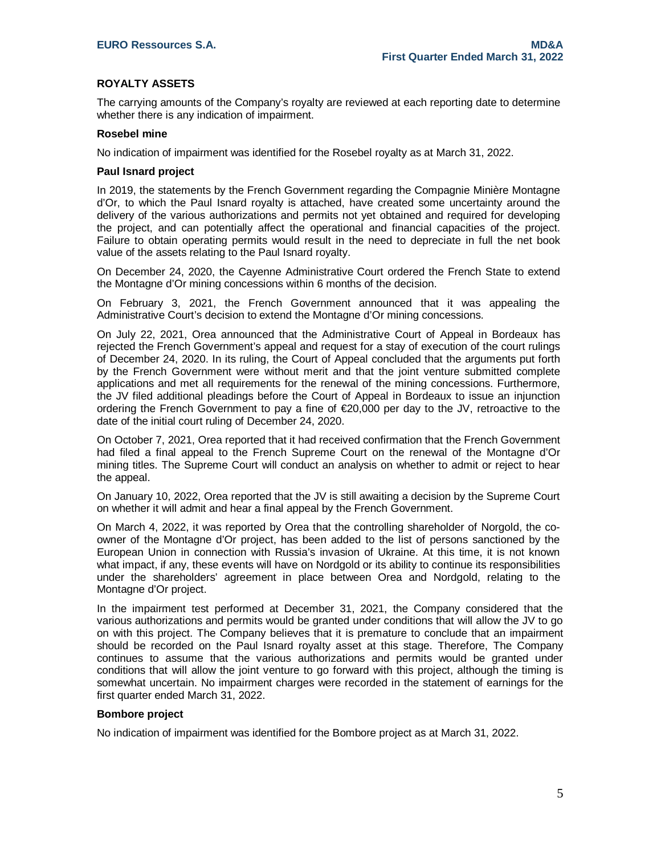# **ROYALTY ASSETS**

The carrying amounts of the Company's royalty are reviewed at each reporting date to determine whether there is any indication of impairment.

#### **Rosebel mine**

No indication of impairment was identified for the Rosebel royalty as at March 31, 2022.

#### **Paul Isnard project**

In 2019, the statements by the French Government regarding the Compagnie Minière Montagne d'Or, to which the Paul Isnard royalty is attached, have created some uncertainty around the delivery of the various authorizations and permits not yet obtained and required for developing the project, and can potentially affect the operational and financial capacities of the project. Failure to obtain operating permits would result in the need to depreciate in full the net book value of the assets relating to the Paul Isnard royalty.

On December 24, 2020, the Cayenne Administrative Court ordered the French State to extend the Montagne d'Or mining concessions within 6 months of the decision.

On February 3, 2021, the French Government announced that it was appealing the Administrative Court's decision to extend the Montagne d'Or mining concessions.

On July 22, 2021, Orea announced that the Administrative Court of Appeal in Bordeaux has rejected the French Government's appeal and request for a stay of execution of the court rulings of December 24, 2020. In its ruling, the Court of Appeal concluded that the arguments put forth by the French Government were without merit and that the joint venture submitted complete applications and met all requirements for the renewal of the mining concessions. Furthermore, the JV filed additional pleadings before the Court of Appeal in Bordeaux to issue an injunction ordering the French Government to pay a fine of €20,000 per day to the JV, retroactive to the date of the initial court ruling of December 24, 2020.

On October 7, 2021, Orea reported that it had received confirmation that the French Government had filed a final appeal to the French Supreme Court on the renewal of the Montagne d'Or mining titles. The Supreme Court will conduct an analysis on whether to admit or reject to hear the appeal.

On January 10, 2022, Orea reported that the JV is still awaiting a decision by the Supreme Court on whether it will admit and hear a final appeal by the French Government.

On March 4, 2022, it was reported by Orea that the controlling shareholder of Norgold, the coowner of the Montagne d'Or project, has been added to the list of persons sanctioned by the European Union in connection with Russia's invasion of Ukraine. At this time, it is not known what impact, if any, these events will have on Nordgold or its ability to continue its responsibilities under the shareholders' agreement in place between Orea and Nordgold, relating to the Montagne d'Or project.

In the impairment test performed at December 31, 2021, the Company considered that the various authorizations and permits would be granted under conditions that will allow the JV to go on with this project. The Company believes that it is premature to conclude that an impairment should be recorded on the Paul Isnard royalty asset at this stage. Therefore, The Company continues to assume that the various authorizations and permits would be granted under conditions that will allow the joint venture to go forward with this project, although the timing is somewhat uncertain. No impairment charges were recorded in the statement of earnings for the first quarter ended March 31, 2022.

#### **Bombore project**

No indication of impairment was identified for the Bombore project as at March 31, 2022.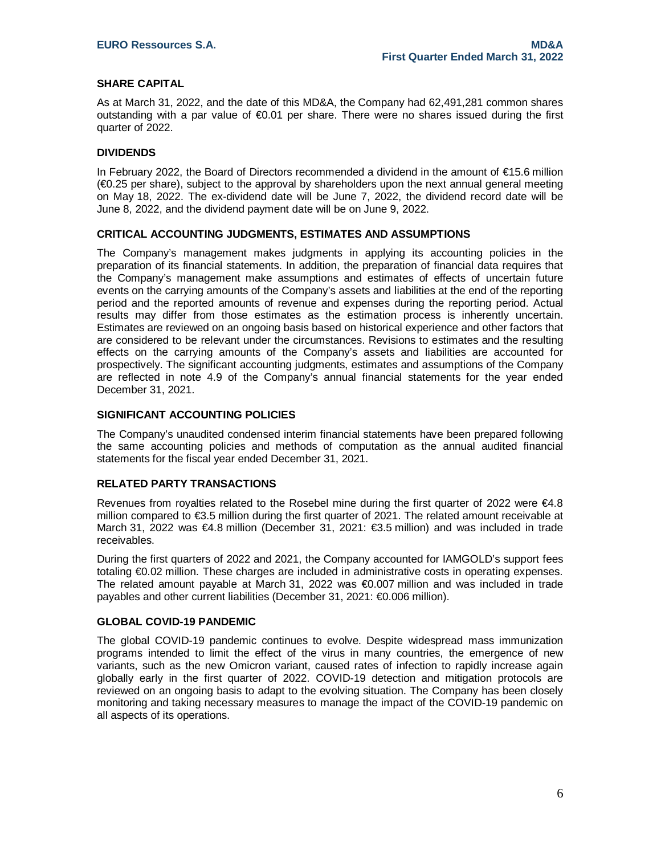# **SHARE CAPITAL**

As at March 31, 2022, and the date of this MD&A, the Company had 62,491,281 common shares outstanding with a par value of €0.01 per share. There were no shares issued during the first quarter of 2022.

## **DIVIDENDS**

In February 2022, the Board of Directors recommended a dividend in the amount of €15.6 million (€0.25 per share), subject to the approval by shareholders upon the next annual general meeting on May 18, 2022. The ex-dividend date will be June 7, 2022, the dividend record date will be June 8, 2022, and the dividend payment date will be on June 9, 2022.

# **CRITICAL ACCOUNTING JUDGMENTS, ESTIMATES AND ASSUMPTIONS**

The Company's management makes judgments in applying its accounting policies in the preparation of its financial statements. In addition, the preparation of financial data requires that the Company's management make assumptions and estimates of effects of uncertain future events on the carrying amounts of the Company's assets and liabilities at the end of the reporting period and the reported amounts of revenue and expenses during the reporting period. Actual results may differ from those estimates as the estimation process is inherently uncertain. Estimates are reviewed on an ongoing basis based on historical experience and other factors that are considered to be relevant under the circumstances. Revisions to estimates and the resulting effects on the carrying amounts of the Company's assets and liabilities are accounted for prospectively. The significant accounting judgments, estimates and assumptions of the Company are reflected in note 4.9 of the Company's annual financial statements for the year ended December 31, 2021.

#### **SIGNIFICANT ACCOUNTING POLICIES**

The Company's unaudited condensed interim financial statements have been prepared following the same accounting policies and methods of computation as the annual audited financial statements for the fiscal year ended December 31, 2021.

#### **RELATED PARTY TRANSACTIONS**

Revenues from royalties related to the Rosebel mine during the first quarter of 2022 were €4.8 million compared to €3.5 million during the first quarter of 2021. The related amount receivable at March 31, 2022 was €4.8 million (December 31, 2021: €3.5 million) and was included in trade receivables.

During the first quarters of 2022 and 2021, the Company accounted for IAMGOLD's support fees totaling €0.02 million. These charges are included in administrative costs in operating expenses. The related amount payable at March 31, 2022 was €0.007 million and was included in trade payables and other current liabilities (December 31, 2021: €0.006 million).

#### **GLOBAL COVID-19 PANDEMIC**

The global COVID-19 pandemic continues to evolve. Despite widespread mass immunization programs intended to limit the effect of the virus in many countries, the emergence of new variants, such as the new Omicron variant, caused rates of infection to rapidly increase again globally early in the first quarter of 2022. COVID-19 detection and mitigation protocols are reviewed on an ongoing basis to adapt to the evolving situation. The Company has been closely monitoring and taking necessary measures to manage the impact of the COVID-19 pandemic on all aspects of its operations.